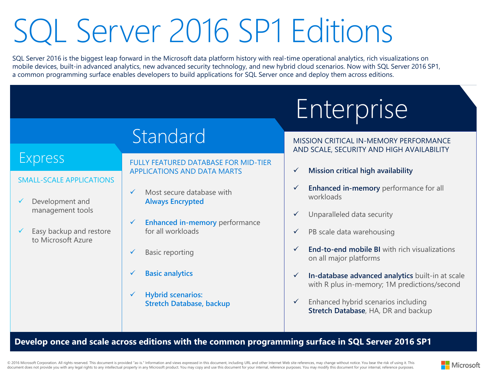## SQL Server 2016 SP1 Editions

SQL Server 2016 is the biggest leap forward in the Microsoft data platform history with real-time operational analytics, rich visualizations on mobile devices, built-in advanced analytics, new advanced security technology, and new hybrid cloud scenarios. Now with SQL Server 2016 SP1, a common programming surface enables developers to build applications for SQL Server once and deploy them across editions.

## Enterprise Standard Express SMALL-SCALE APPLICATIONS Development and management tools Easy backup and restore to Microsoft Azure FULLY FEATURED DATABASE FOR MID-TIER APPLICATIONS AND DATA MARTS  $\checkmark$  Most secure database with **Always Encrypted Enhanced in-memory** performance for all workloads Basic reporting MISSION CRITICAL IN-MEMORY PERFORMANCE AND SCALE, SECURITY AND HIGH AVAILABILITY **Mission critical high availability Enhanced in-memory** performance for all workloads  $\checkmark$  Unparalleled data security  $\checkmark$  PB scale data warehousing **End-to-end mobile BI** with rich visualizations on all major platforms

- **In-database advanced analytics** built-in at scale with R plus in-memory; 1M predictions/second
	- $\checkmark$  Enhanced hybrid scenarios including **Stretch Database**, HA, DR and backup

## **Develop once and scale across editions with the common programming surface in SQL Server 2016 SP1**

© 2016 Microsoft Corporation. All rights reserved. This document is provided "as-is." Information and views expressed in this document, including URL and other Internet Web site references, may change without notice. You b document does not provide you with any legal rights to any intellectual property in any Microsoft product. You may copy and use this document for your internal, reference purposes. You may modify this document for your int

**Basic analytics**

**Hybrid scenarios:** 

**Stretch Database, backup**